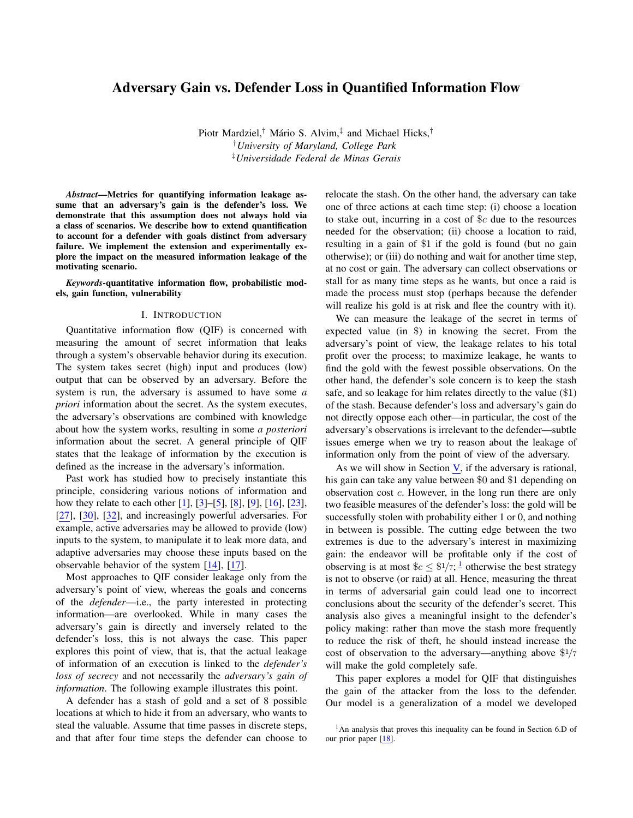# Adversary Gain vs. Defender Loss in Quantified Information Flow

Piotr Mardziel,<sup>†</sup> Mário S. Alvim,<sup>‡</sup> and Michael Hicks,<sup>†</sup> †*University of Maryland, College Park* ‡*Universidade Federal de Minas Gerais*

*Abstract*—Metrics for quantifying information leakage assume that an adversary's gain is the defender's loss. We demonstrate that this assumption does not always hold via a class of scenarios. We describe how to extend quantification to account for a defender with goals distinct from adversary failure. We implement the extension and experimentally explore the impact on the measured information leakage of the motivating scenario.

*Keywords*-quantitative information flow, probabilistic models, gain function, vulnerability

#### I. INTRODUCTION

Quantitative information flow (QIF) is concerned with measuring the amount of secret information that leaks through a system's observable behavior during its execution. The system takes secret (high) input and produces (low) output that can be observed by an adversary. Before the system is run, the adversary is assumed to have some *a priori* information about the secret. As the system executes, the adversary's observations are combined with knowledge about how the system works, resulting in some *a posteriori* information about the secret. A general principle of QIF states that the leakage of information by the execution is defined as the increase in the adversary's information.

Past work has studied how to precisely instantiate this principle, considering various notions of information and how they relate to each other [\[1\]](#page-11-0), [\[3\]](#page-11-1)–[\[5\]](#page-12-0), [\[8\]](#page-12-1), [\[9\]](#page-12-2), [\[16\]](#page-12-3), [\[23\]](#page-12-4), [\[27\]](#page-12-5), [\[30\]](#page-12-6), [\[32\]](#page-12-7), and increasingly powerful adversaries. For example, active adversaries may be allowed to provide (low) inputs to the system, to manipulate it to leak more data, and adaptive adversaries may choose these inputs based on the observable behavior of the system [\[14\]](#page-12-8), [\[17\]](#page-12-9).

Most approaches to QIF consider leakage only from the adversary's point of view, whereas the goals and concerns of the *defender*—i.e., the party interested in protecting information—are overlooked. While in many cases the adversary's gain is directly and inversely related to the defender's loss, this is not always the case. This paper explores this point of view, that is, that the actual leakage of information of an execution is linked to the *defender's loss of secrecy* and not necessarily the *adversary's gain of information*. The following example illustrates this point.

A defender has a stash of gold and a set of 8 possible locations at which to hide it from an adversary, who wants to steal the valuable. Assume that time passes in discrete steps, and that after four time steps the defender can choose to relocate the stash. On the other hand, the adversary can take one of three actions at each time step: (i) choose a location to stake out, incurring in a cost of \$c due to the resources needed for the observation; (ii) choose a location to raid, resulting in a gain of \$1 if the gold is found (but no gain otherwise); or (iii) do nothing and wait for another time step, at no cost or gain. The adversary can collect observations or stall for as many time steps as he wants, but once a raid is made the process must stop (perhaps because the defender will realize his gold is at risk and flee the country with it).

We can measure the leakage of the secret in terms of expected value (in \$) in knowing the secret. From the adversary's point of view, the leakage relates to his total profit over the process; to maximize leakage, he wants to find the gold with the fewest possible observations. On the other hand, the defender's sole concern is to keep the stash safe, and so leakage for him relates directly to the value (\$1) of the stash. Because defender's loss and adversary's gain do not directly oppose each other—in particular, the cost of the adversary's observations is irrelevant to the defender—subtle issues emerge when we try to reason about the leakage of information only from the point of view of the adversary.

As we will show in Section  $V$ , if the adversary is rational, his gain can take any value between \$0 and \$1 depending on observation cost  $c$ . However, in the long run there are only two feasible measures of the defender's loss: the gold will be successfully stolen with probability either 1 or 0, and nothing in between is possible. The cutting edge between the two extremes is due to the adversary's interest in maximizing gain: the endeavor will be profitable only if the cost of observing is at most  $c \leq \frac{1}{7}$  $c \leq \frac{1}{7}$  $c \leq \frac{1}{7}$ ;  $\frac{1}{7}$  otherwise the best strategy is not to observe (or raid) at all. Hence, measuring the threat in terms of adversarial gain could lead one to incorrect conclusions about the security of the defender's secret. This analysis also gives a meaningful insight to the defender's policy making: rather than move the stash more frequently to reduce the risk of theft, he should instead increase the cost of observation to the adversary—anything above  $\frac{1}{7}$ will make the gold completely safe.

This paper explores a model for QIF that distinguishes the gain of the attacker from the loss to the defender. Our model is a generalization of a model we developed

<span id="page-0-0"></span><sup>&</sup>lt;sup>1</sup>An analysis that proves this inequality can be found in Section 6.D of our prior paper [\[18\]](#page-12-10).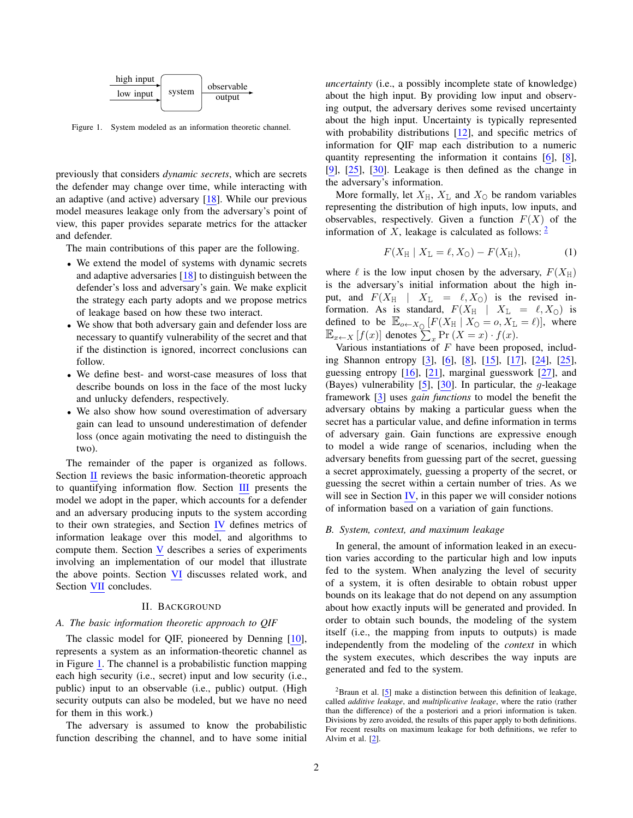

<span id="page-1-1"></span>Figure 1. System modeled as an information theoretic channel.

previously that considers *dynamic secrets*, which are secrets the defender may change over time, while interacting with an adaptive (and active) adversary [\[18\]](#page-12-10). While our previous model measures leakage only from the adversary's point of view, this paper provides separate metrics for the attacker and defender.

The main contributions of this paper are the following.

- We extend the model of systems with dynamic secrets and adaptive adversaries [\[18\]](#page-12-10) to distinguish between the defender's loss and adversary's gain. We make explicit the strategy each party adopts and we propose metrics of leakage based on how these two interact.
- We show that both adversary gain and defender loss are necessary to quantify vulnerability of the secret and that if the distinction is ignored, incorrect conclusions can follow.
- We define best- and worst-case measures of loss that describe bounds on loss in the face of the most lucky and unlucky defenders, respectively.
- We also show how sound overestimation of adversary gain can lead to unsound underestimation of defender loss (once again motivating the need to distinguish the two).

The remainder of the paper is organized as follows. Section [II](#page-1-0) reviews the basic information-theoretic approach to quantifying information flow. Section [III](#page-2-0) presents the model we adopt in the paper, which accounts for a defender and an adversary producing inputs to the system according to their own strategies, and Section [IV](#page-4-0) defines metrics of information leakage over this model, and algorithms to compute them. Section [V](#page-6-0) describes a series of experiments involving an implementation of our model that illustrate the above points. Section [VI](#page-10-0) discusses related work, and Section [VII](#page-11-2) concludes.

#### II. BACKGROUND

### <span id="page-1-0"></span>*A. The basic information theoretic approach to QIF*

The classic model for QIF, pioneered by Denning [\[10\]](#page-12-11), represents a system as an information-theoretic channel as in Figure [1.](#page-1-1) The channel is a probabilistic function mapping each high security (i.e., secret) input and low security (i.e., public) input to an observable (i.e., public) output. (High security outputs can also be modeled, but we have no need for them in this work.)

The adversary is assumed to know the probabilistic function describing the channel, and to have some initial *uncertainty* (i.e., a possibly incomplete state of knowledge) about the high input. By providing low input and observing output, the adversary derives some revised uncertainty about the high input. Uncertainty is typically represented with probability distributions [\[12\]](#page-12-12), and specific metrics of information for QIF map each distribution to a numeric quantity representing the information it contains [\[6\]](#page-12-13), [\[8\]](#page-12-1), [\[9\]](#page-12-2), [\[25\]](#page-12-14), [\[30\]](#page-12-6). Leakage is then defined as the change in the adversary's information.

More formally, let  $X_H$ ,  $X_L$  and  $X_O$  be random variables representing the distribution of high inputs, low inputs, and observables, respectively. Given a function  $F(X)$  of the information of X, leakage is calculated as follows:  $\frac{2}{3}$  $\frac{2}{3}$  $\frac{2}{3}$ 

$$
F(X_{\rm H} \mid X_{\rm L} = \ell, X_{\rm O}) - F(X_{\rm H}), \tag{1}
$$

where  $\ell$  is the low input chosen by the adversary,  $F(X_H)$ is the adversary's initial information about the high input, and  $F(X_H \mid X_L = \ell, X_O)$  is the revised information. As is standard,  $F(X_H | X_L = \ell, X_O)$  is defined to be  $\mathbb{E}_{o \leftarrow X_{\mathbb{Q}}} [F(X_{\mathbb{H}} | X_{\mathbb{Q}} = o, X_{\mathbb{L}} = \ell)],$  where  $\mathbb{E}_{x \leftarrow X} [f(x)]$  denotes  $\sum_{x} \Pr(X = x) \cdot f(x)$ .

Various instantiations of  $F$  have been proposed, including Shannon entropy [\[3\]](#page-11-1), [\[6\]](#page-12-13), [\[8\]](#page-12-1), [\[15\]](#page-12-15), [\[17\]](#page-12-9), [\[24\]](#page-12-16), [\[25\]](#page-12-14), guessing entropy [\[16\]](#page-12-3), [\[21\]](#page-12-17), marginal guesswork [\[27\]](#page-12-5), and (Bayes) vulnerability [\[5\]](#page-12-0), [\[30\]](#page-12-6). In particular, the  $q$ -leakage framework [\[3\]](#page-11-1) uses *gain functions* to model the benefit the adversary obtains by making a particular guess when the secret has a particular value, and define information in terms of adversary gain. Gain functions are expressive enough to model a wide range of scenarios, including when the adversary benefits from guessing part of the secret, guessing a secret approximately, guessing a property of the secret, or guessing the secret within a certain number of tries. As we will see in Section  $\mathbf{IV}$ , in this paper we will consider notions of information based on a variation of gain functions.

#### *B. System, context, and maximum leakage*

In general, the amount of information leaked in an execution varies according to the particular high and low inputs fed to the system. When analyzing the level of security of a system, it is often desirable to obtain robust upper bounds on its leakage that do not depend on any assumption about how exactly inputs will be generated and provided. In order to obtain such bounds, the modeling of the system itself (i.e., the mapping from inputs to outputs) is made independently from the modeling of the *context* in which the system executes, which describes the way inputs are generated and fed to the system.

<span id="page-1-2"></span> $2B$ raun et al. [\[5\]](#page-12-0) make a distinction between this definition of leakage, called *additive leakage*, and *multiplicative leakage*, where the ratio (rather than the difference) of the a posteriori and a priori information is taken. Divisions by zero avoided, the results of this paper apply to both definitions. For recent results on maximum leakage for both definitions, we refer to Alvim et al. [\[2\]](#page-11-3).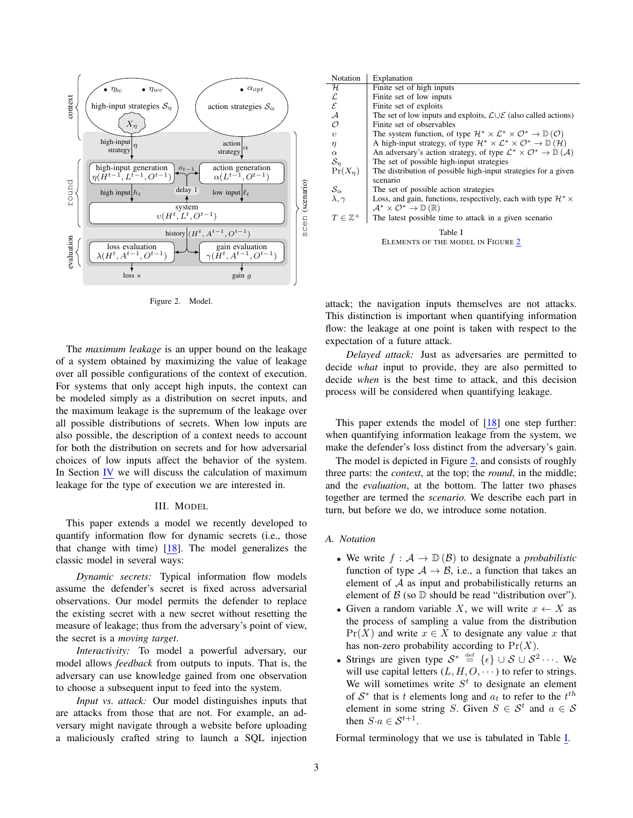

<span id="page-2-1"></span>Figure 2. Model.

The *maximum leakage* is an upper bound on the leakage of a system obtained by maximizing the value of leakage over all possible configurations of the context of execution. For systems that only accept high inputs, the context can be modeled simply as a distribution on secret inputs, and the maximum leakage is the supremum of the leakage over all possible distributions of secrets. When low inputs are also possible, the description of a context needs to account for both the distribution on secrets and for how adversarial choices of low inputs affect the behavior of the system. In Section [IV](#page-4-0) we will discuss the calculation of maximum leakage for the type of execution we are interested in.

### III. MODEL

<span id="page-2-0"></span>This paper extends a model we recently developed to quantify information flow for dynamic secrets (i.e., those that change with time) [\[18\]](#page-12-10). The model generalizes the classic model in several ways:

*Dynamic secrets:* Typical information flow models assume the defender's secret is fixed across adversarial observations. Our model permits the defender to replace the existing secret with a new secret without resetting the measure of leakage; thus from the adversary's point of view, the secret is a *moving target*.

*Interactivity:* To model a powerful adversary, our model allows *feedback* from outputs to inputs. That is, the adversary can use knowledge gained from one observation to choose a subsequent input to feed into the system.

*Input vs. attack:* Our model distinguishes inputs that are attacks from those that are not. For example, an adversary might navigate through a website before uploading a maliciously crafted string to launch a SQL injection

| Explanation                                                                                                          |
|----------------------------------------------------------------------------------------------------------------------|
| Finite set of high inputs                                                                                            |
| Finite set of low inputs                                                                                             |
| Finite set of exploits                                                                                               |
| The set of low inputs and exploits, $\mathcal{L} \cup \mathcal{E}$ (also called actions)                             |
| Finite set of observables                                                                                            |
| The system function, of type $\mathcal{H}^* \times \mathcal{L}^* \times \mathcal{O}^* \to \mathbb{D}(\mathcal{O})$   |
| A high-input strategy, of type $\mathcal{H}^* \times \mathcal{L}^* \times \mathcal{O}^* \to \mathbb{D}(\mathcal{H})$ |
| An adversary's action strategy, of type $\mathcal{L}^* \times \mathcal{O}^* \to \mathbb{D}(\mathcal{A})$             |
| The set of possible high-input strategies                                                                            |
| The distribution of possible high-input strategies for a given                                                       |
| scenario                                                                                                             |
| The set of possible action strategies                                                                                |
| Loss, and gain, functions, respectively, each with type $\mathcal{H}^* \times$                                       |
| $\mathcal{A}^* \times \mathcal{O}^* \to \mathbb{D}(\mathbb{R})$                                                      |
| The latest possible time to attack in a given scenario                                                               |
| Table I                                                                                                              |
| ELEMENTS OF THE MODEL IN FIGURE 2                                                                                    |
|                                                                                                                      |
|                                                                                                                      |

<span id="page-2-2"></span>attack; the navigation inputs themselves are not attacks. This distinction is important when quantifying information flow: the leakage at one point is taken with respect to the expectation of a future attack.

*Delayed attack:* Just as adversaries are permitted to decide *what* input to provide, they are also permitted to decide *when* is the best time to attack, and this decision process will be considered when quantifying leakage.

This paper extends the model of [\[18\]](#page-12-10) one step further: when quantifying information leakage from the system, we make the defender's loss distinct from the adversary's gain.

The model is depicted in Figure [2,](#page-2-1) and consists of roughly three parts: the *context*, at the top; the *round*, in the middle; and the *evaluation*, at the bottom. The latter two phases together are termed the *scenario.* We describe each part in turn, but before we do, we introduce some notation.

### *A. Notation*

- We write  $f : A \to \mathbb{D}(\mathcal{B})$  to designate a *probabilistic* function of type  $A \rightarrow B$ , i.e., a function that takes an element of  $A$  as input and probabilistically returns an element of  $\beta$  (so  $\mathbb D$  should be read "distribution over").
- Given a random variable X, we will write  $x \leftarrow X$  as the process of sampling a value from the distribution  $Pr(X)$  and write  $x \in X$  to designate any value x that has non-zero probability according to  $Pr(X)$ .
- Strings are given type  $S^* \stackrel{\text{def}}{=} {\{\epsilon\}} \cup S \cup S^2 \cdots$ . We will use capital letters  $(L, H, O, \dots)$  to refer to strings. We will sometimes write  $S<sup>t</sup>$  to designate an element of  $S^*$  that is t elements long and  $a_t$  to refer to the  $t^{th}$ element in some string S. Given  $S \in \mathcal{S}^t$  and  $a \in \mathcal{S}$ then  $S \cdot a \in \mathcal{S}^{t+1}$ .

Formal terminology that we use is tabulated in Table [I.](#page-2-2)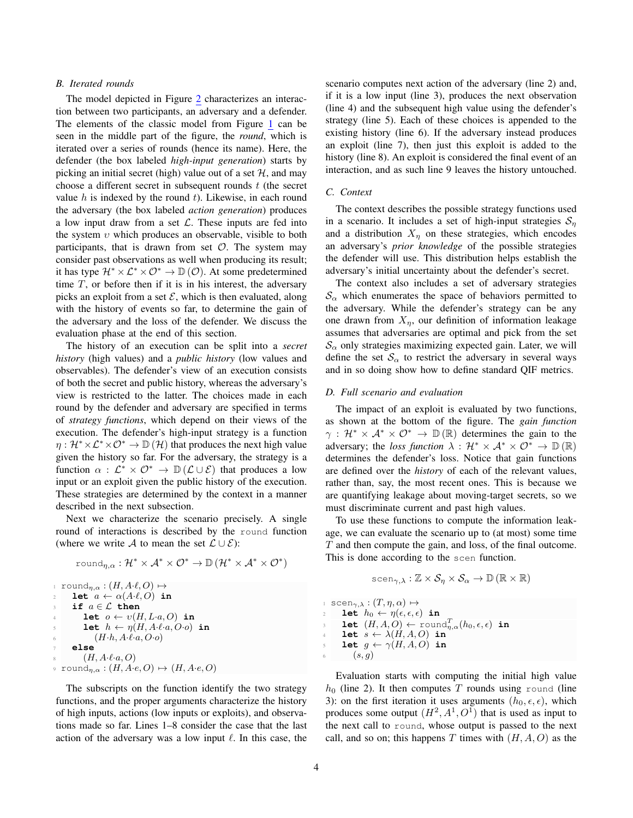### *B. Iterated rounds*

The model depicted in Figure [2](#page-2-1) characterizes an interaction between two participants, an adversary and a defender. The elements of the classic model from Figure [1](#page-1-1) can be seen in the middle part of the figure, the *round*, which is iterated over a series of rounds (hence its name). Here, the defender (the box labeled *high-input generation*) starts by picking an initial secret (high) value out of a set  $H$ , and may choose a different secret in subsequent rounds  $t$  (the secret value  $h$  is indexed by the round  $t$ ). Likewise, in each round the adversary (the box labeled *action generation*) produces a low input draw from a set  $\mathcal{L}$ . These inputs are fed into the system  $v$  which produces an observable, visible to both participants, that is drawn from set  $\mathcal{O}$ . The system may consider past observations as well when producing its result; it has type  $\mathcal{H}^* \times \mathcal{L}^* \times \mathcal{O}^* \to \mathbb{D}(\mathcal{O})$ . At some predetermined time  $T$ , or before then if it is in his interest, the adversary picks an exploit from a set  $\mathcal{E}$ , which is then evaluated, along with the history of events so far, to determine the gain of the adversary and the loss of the defender. We discuss the evaluation phase at the end of this section.

The history of an execution can be split into a *secret history* (high values) and a *public history* (low values and observables). The defender's view of an execution consists of both the secret and public history, whereas the adversary's view is restricted to the latter. The choices made in each round by the defender and adversary are specified in terms of *strategy functions*, which depend on their views of the execution. The defender's high-input strategy is a function  $\eta : \mathcal{H}^* \times \mathcal{L}^* \times \mathcal{O}^* \to \mathbb{D}(\mathcal{H})$  that produces the next high value given the history so far. For the adversary, the strategy is a function  $\alpha : \mathcal{L}^* \times \mathcal{O}^* \to \mathbb{D}(\mathcal{L} \cup \mathcal{E})$  that produces a low input or an exploit given the public history of the execution. These strategies are determined by the context in a manner described in the next subsection.

Next we characterize the scenario precisely. A single round of interactions is described by the round function (where we write A to mean the set  $\mathcal{L} \cup \mathcal{E}$ ):

$$
round_{\eta,\alpha}: \mathcal{H}^* \times \mathcal{A}^* \times \mathcal{O}^* \to \mathbb{D}(\mathcal{H}^* \times \mathcal{A}^* \times \mathcal{O}^*)
$$

$$
\begin{array}{ll}\n\text{round}_{\eta,\alpha}: (H, A \cdot \ell, O) & \mapsto \\
\text{let } a \leftarrow \alpha(A \cdot \ell, O) \text{ in} \\
\text{if } a \in \mathcal{L} \text{ then} \\
\text{let } o \leftarrow v(H, L \cdot a, O) \text{ in} \\
\text{let } h \leftarrow \eta(H, A \cdot \ell \cdot a, O \cdot o) \text{ in} \\
\text{let } h, A \cdot \ell \cdot a, O \cdot o) \\
\text{else} \\
\text{if } (H, A \cdot \ell \cdot a, O) \\
\text{if } \alpha \in (H, A \cdot \ell \cdot a, O) \\
\text{if } (H, A \cdot \ell \cdot a, O) \rightarrow (H, A \cdot e, O)\n\end{array}
$$

The subscripts on the function identify the two strategy functions, and the proper arguments characterize the history of high inputs, actions (low inputs or exploits), and observations made so far. Lines 1–8 consider the case that the last action of the adversary was a low input  $\ell$ . In this case, the scenario computes next action of the adversary (line 2) and, if it is a low input (line 3), produces the next observation (line 4) and the subsequent high value using the defender's strategy (line 5). Each of these choices is appended to the existing history (line 6). If the adversary instead produces an exploit (line 7), then just this exploit is added to the history (line 8). An exploit is considered the final event of an interaction, and as such line 9 leaves the history untouched.

### *C. Context*

The context describes the possible strategy functions used in a scenario. It includes a set of high-input strategies  $S_n$ and a distribution  $X_{\eta}$  on these strategies, which encodes an adversary's *prior knowledge* of the possible strategies the defender will use. This distribution helps establish the adversary's initial uncertainty about the defender's secret.

The context also includes a set of adversary strategies  $\mathcal{S}_{\alpha}$  which enumerates the space of behaviors permitted to the adversary. While the defender's strategy can be any one drawn from  $X_n$ , our definition of information leakage assumes that adversaries are optimal and pick from the set  $\mathcal{S}_{\alpha}$  only strategies maximizing expected gain. Later, we will define the set  $S_\alpha$  to restrict the adversary in several ways and in so doing show how to define standard QIF metrics.

### *D. Full scenario and evaluation*

The impact of an exploit is evaluated by two functions, as shown at the bottom of the figure. The *gain function*  $\gamma$ :  $\mathcal{H}^* \times \mathcal{A}^* \times \mathcal{O}^* \to \mathbb{D}(\mathbb{R})$  determines the gain to the adversary; the *loss function*  $\lambda : \mathcal{H}^* \times \mathcal{A}^* \times \mathcal{O}^* \to \mathbb{D}(\mathbb{R})$ determines the defender's loss. Notice that gain functions are defined over the *history* of each of the relevant values, rather than, say, the most recent ones. This is because we are quantifying leakage about moving-target secrets, so we must discriminate current and past high values.

To use these functions to compute the information leakage, we can evaluate the scenario up to (at most) some time T and then compute the gain, and loss, of the final outcome. This is done according to the scen function.

$$
\text{scen}_{\gamma,\lambda}: \mathbb{Z} \times \mathcal{S}_{\eta} \times \mathcal{S}_{\alpha} \to \mathbb{D}(\mathbb{R} \times \mathbb{R})
$$

 $\lim_{\lambda \to 0} s \operatorname{cen}_{\gamma,\lambda} : (T, \eta, \alpha) \mapsto$ let  $h_0 \leftarrow \eta(\epsilon, \epsilon, \epsilon)$  in **let**  $(H, A, O) \leftarrow \text{round}_{\eta, \alpha}^T(h_0, \epsilon, \epsilon)$  in let  $s \leftarrow \lambda(H, A, O)$  in **let**  $g \leftarrow \gamma(H, A, O)$  **in**  $(s, g)$ 

Evaluation starts with computing the initial high value  $h_0$  (line 2). It then computes T rounds using round (line 3): on the first iteration it uses arguments  $(h_0, \epsilon, \epsilon)$ , which produces some output  $(H^2, A^1, O^1)$  that is used as input to the next call to round, whose output is passed to the next call, and so on; this happens T times with  $(H, A, O)$  as the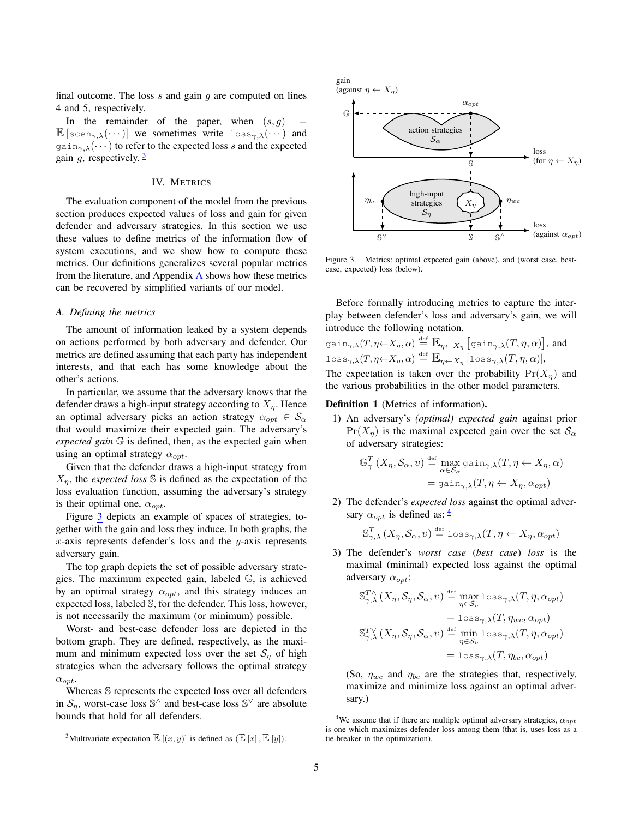final outcome. The loss  $s$  and gain  $g$  are computed on lines 4 and 5, respectively.

In the remainder of the paper, when  $(s, g)$  =  $\mathbb{E} \left[ \text{seen}_{\gamma,\lambda}(\cdots) \right]$  we sometimes write  $\text{loss}_{\gamma,\lambda}(\cdots)$  and  $\gamma_{\alpha\beta}(\cdots)$  to refer to the expected loss s and the expected gain  $q$ , respectively.  $\frac{3}{2}$  $\frac{3}{2}$  $\frac{3}{2}$ 

### IV. METRICS

<span id="page-4-0"></span>The evaluation component of the model from the previous section produces expected values of loss and gain for given defender and adversary strategies. In this section we use these values to define metrics of the information flow of system executions, and we show how to compute these metrics. Our definitions generalizes several popular metrics from the literature, and Appendix [A](#page-13-0) shows how these metrics can be recovered by simplified variants of our model.

### *A. Defining the metrics*

The amount of information leaked by a system depends on actions performed by both adversary and defender. Our metrics are defined assuming that each party has independent interests, and that each has some knowledge about the other's actions.

In particular, we assume that the adversary knows that the defender draws a high-input strategy according to  $X_n$ . Hence an optimal adversary picks an action strategy  $\alpha_{opt} \in S_{\alpha}$ that would maximize their expected gain. The adversary's *expected gain* G is defined, then, as the expected gain when using an optimal strategy  $\alpha_{opt}$ .

Given that the defender draws a high-input strategy from  $X_n$ , the *expected loss* S is defined as the expectation of the loss evaluation function, assuming the adversary's strategy is their optimal one,  $\alpha_{opt}$ .

Figure [3](#page-4-2) depicts an example of spaces of strategies, together with the gain and loss they induce. In both graphs, the x-axis represents defender's loss and the  $y$ -axis represents adversary gain.

The top graph depicts the set of possible adversary strategies. The maximum expected gain, labeled G, is achieved by an optimal strategy  $\alpha_{opt}$ , and this strategy induces an expected loss, labeled S, for the defender. This loss, however, is not necessarily the maximum (or minimum) possible.

Worst- and best-case defender loss are depicted in the bottom graph. They are defined, respectively, as the maximum and minimum expected loss over the set  $S_n$  of high strategies when the adversary follows the optimal strategy  $\alpha_{opt}$ .

Whereas S represents the expected loss over all defenders in  $S_{\eta}$ , worst-case loss S<sup> $\wedge$ </sup> and best-case loss S<sup> $\vee$ </sup> are absolute bounds that hold for all defenders.



<span id="page-4-2"></span>Figure 3. Metrics: optimal expected gain (above), and (worst case, bestcase, expected) loss (below).

Before formally introducing metrics to capture the interplay between defender's loss and adversary's gain, we will introduce the following notation.

$$
\text{gain}_{\gamma,\lambda}(T,\eta \leftarrow X_{\eta},\alpha) \stackrel{\text{def}}{=} \mathbb{E}_{\eta \leftarrow X_{\eta}} \left[ \text{gain}_{\gamma,\lambda}(T,\eta,\alpha) \right], \text{ and}
$$
  

$$
\text{loss}_{\gamma,\lambda}(T,\eta \leftarrow X_{\eta},\alpha) \stackrel{\text{def}}{=} \mathbb{E}_{\eta \leftarrow X_{\eta}} \left[ \text{loss}_{\gamma,\lambda}(T,\eta,\alpha) \right],
$$

The expectation is taken over the probability  $Pr(X_n)$  and the various probabilities in the other model parameters.

### Definition 1 (Metrics of information).

1) An adversary's *(optimal) expected gain* against prior  $Pr(X_n)$  is the maximal expected gain over the set  $S_\alpha$ of adversary strategies:

$$
\mathbb{G}_{\gamma}^{T}(X_{\eta}, \mathcal{S}_{\alpha}, v) \stackrel{\text{def}}{=} \max_{\alpha \in \mathcal{S}_{\alpha}} \text{gain}_{\gamma, \lambda}(T, \eta \leftarrow X_{\eta}, \alpha)
$$

$$
= \text{gain}_{\gamma, \lambda}(T, \eta \leftarrow X_{\eta}, \alpha_{opt})
$$

2) The defender's *expected loss* against the optimal adversary  $\alpha_{opt}$  is defined as:  $\frac{4}{3}$  $\frac{4}{3}$  $\frac{4}{3}$ 

$$
\mathbb{S}^T_{\gamma,\lambda}\left(X_\eta,\mathcal{S}_\alpha,v\right) \stackrel{\text{\tiny def}}{=} \text{loss}_{\gamma,\lambda}(T,\eta \leftarrow X_\eta,\alpha_{opt})
$$

3) The defender's *worst case* (*best case*) *loss* is the maximal (minimal) expected loss against the optimal adversary  $\alpha_{opt}$ :

$$
\begin{aligned} \mathbb{S}_{\gamma,\lambda}^{T\wedge}(X_{\eta},\mathcal{S}_{\eta},\mathcal{S}_{\alpha},v) & \stackrel{\text{def}}{=} \max_{\eta \in \mathcal{S}_{\eta}} \text{loss}_{\gamma,\lambda}(T,\eta,\alpha_{opt}) \\ & = \text{loss}_{\gamma,\lambda}(T,\eta_{wc},\alpha_{opt}) \\ \mathbb{S}_{\gamma,\lambda}^{T\vee}(X_{\eta},\mathcal{S}_{\eta},\mathcal{S}_{\alpha},v) & \stackrel{\text{def}}{=} \min_{\eta \in \mathcal{S}_{\eta}} \text{loss}_{\gamma,\lambda}(T,\eta,\alpha_{opt}) \\ & = \text{loss}_{\gamma,\lambda}(T,\eta_{bc},\alpha_{opt}) \end{aligned}
$$

(So,  $\eta_{wc}$  and  $\eta_{bc}$  are the strategies that, respectively, maximize and minimize loss against an optimal adversary.)

<span id="page-4-1"></span><sup>&</sup>lt;sup>3</sup>Multivariate expectation  $\mathbb{E}[(x, y)]$  is defined as  $(\mathbb{E}[x], \mathbb{E}[y])$ .

<span id="page-4-3"></span><sup>&</sup>lt;sup>4</sup>We assume that if there are multiple optimal adversary strategies,  $\alpha_{opt}$ is one which maximizes defender loss among them (that is, uses loss as a tie-breaker in the optimization).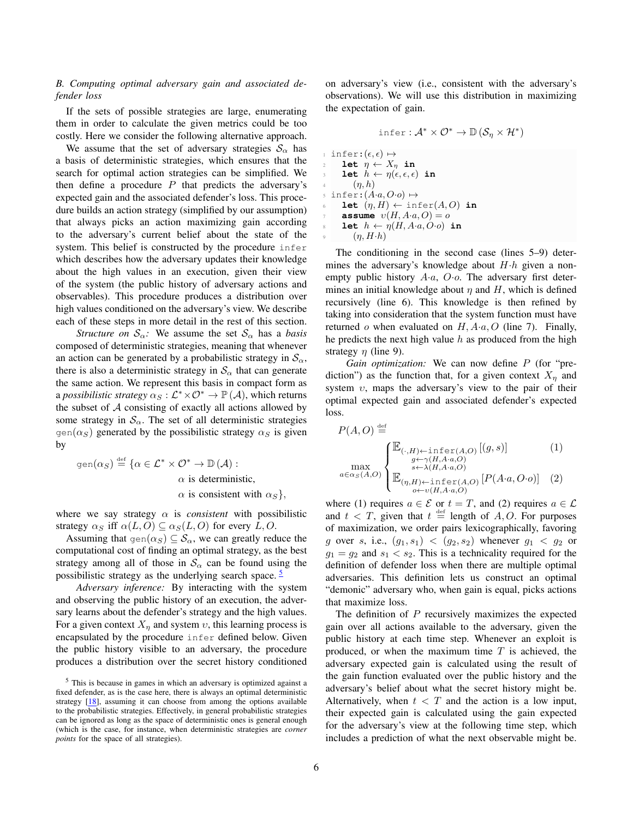# <span id="page-5-1"></span>*B. Computing optimal adversary gain and associated defender loss*

If the sets of possible strategies are large, enumerating them in order to calculate the given metrics could be too costly. Here we consider the following alternative approach.

We assume that the set of adversary strategies  $S_{\alpha}$  has a basis of deterministic strategies, which ensures that the search for optimal action strategies can be simplified. We then define a procedure  $P$  that predicts the adversary's expected gain and the associated defender's loss. This procedure builds an action strategy (simplified by our assumption) that always picks an action maximizing gain according to the adversary's current belief about the state of the system. This belief is constructed by the procedure infer which describes how the adversary updates their knowledge about the high values in an execution, given their view of the system (the public history of adversary actions and observables). This procedure produces a distribution over high values conditioned on the adversary's view. We describe each of these steps in more detail in the rest of this section.

*Structure on*  $S_\alpha$ : We assume the set  $S_\alpha$  has a *basis* composed of deterministic strategies, meaning that whenever an action can be generated by a probabilistic strategy in  $\mathcal{S}_{\alpha}$ , there is also a deterministic strategy in  $\mathcal{S}_{\alpha}$  that can generate the same action. We represent this basis in compact form as a *possibilistic strategy*  $\alpha_S : \mathcal{L}^* \times \mathcal{O}^* \to \mathbb{P}(\mathcal{A})$ , which returns the subset of  $A$  consisting of exactly all actions allowed by some strategy in  $S_\alpha$ . The set of all deterministic strategies gen( $\alpha_S$ ) generated by the possibilistic strategy  $\alpha_S$  is given by

gen $(\alpha_S) \stackrel{\text{def}}{=} \{\alpha \in \mathcal{L}^* \times \mathcal{O}^* \to \mathbb{D}(\mathcal{A}) :$  $\alpha$  is deterministic,  $\alpha$  is consistent with  $\alpha_S$ ,

where we say strategy  $\alpha$  is *consistent* with possibilistic strategy  $\alpha_S$  iff  $\alpha(L, O) \subseteq \alpha_S(L, O)$  for every L,O.

Assuming that  $\text{gen}(\alpha_S) \subseteq \mathcal{S}_\alpha$ , we can greatly reduce the computational cost of finding an optimal strategy, as the best strategy among all of those in  $S_\alpha$  can be found using the possibilistic strategy as the underlying search space.  $\frac{5}{5}$  $\frac{5}{5}$  $\frac{5}{5}$ 

*Adversary inference:* By interacting with the system and observing the public history of an execution, the adversary learns about the defender's strategy and the high values. For a given context  $X_{\eta}$  and system  $\upsilon$ , this learning process is encapsulated by the procedure infer defined below. Given the public history visible to an adversary, the procedure produces a distribution over the secret history conditioned on adversary's view (i.e., consistent with the adversary's observations). We will use this distribution in maximizing the expectation of gain.

$$
\inf_{\epsilon} \text{er}: \mathcal{A}^* \times \mathcal{O}^* \to \mathbb{D}(\mathcal{S}_\eta \times \mathcal{H}^*)
$$
\n
$$
\inf_{2} \text{er}: (\epsilon, \epsilon) \mapsto
$$
\n
$$
\text{let } \eta \leftarrow X_\eta \text{ in}
$$
\n
$$
\text{let } h \leftarrow \eta(\epsilon, \epsilon, \epsilon) \text{ in}
$$
\n
$$
\eta, h
$$
\n
$$
\text{s} \text{ infer}: (A \cdot a, O \cdot o) \mapsto
$$
\n
$$
\text{let } (\eta, H) \leftarrow \text{infer}(A, O) \text{ in}
$$
\n
$$
\text{assume } \upsilon(H, A \cdot a, O) = o
$$
\n
$$
\text{let } h \leftarrow \eta(H, A \cdot a, O \cdot o) \text{ in}
$$
\n
$$
(\eta, H \cdot h)
$$

The conditioning in the second case (lines 5–9) determines the adversary's knowledge about  $H \cdot h$  given a nonempty public history  $A \cdot a$ ,  $O \cdot o$ . The adversary first determines an initial knowledge about  $\eta$  and  $H$ , which is defined recursively (line 6). This knowledge is then refined by taking into consideration that the system function must have returned o when evaluated on  $H, A \cdot a, O$  (line 7). Finally, he predicts the next high value  $h$  as produced from the high strategy  $\eta$  (line 9).

*Gain optimization:* We can now define P (for "prediction") as the function that, for a given context  $X_n$  and system  $v$ , maps the adversary's view to the pair of their optimal expected gain and associated defender's expected loss.

$$
P(A, O) \stackrel{\text{def}}{=} \sum_{g \leftarrow \gamma(H, A \cdot a, O)} \left[ (g, s) \right] \tag{1}
$$
\n
$$
\max_{a \in \alpha_S(A, O)} \left\{ \mathbb{E}_{\substack{g \leftarrow \gamma(H, A \cdot a, O) \\ s \leftarrow \lambda(H, A \cdot a, O)}} \left[ P(A \cdot a, O \cdot o) \right] \right] \right\}
$$
\n
$$
\mathbb{E}_{\substack{(\eta, H) \leftarrow \text{infer}(A, O) \\ o \leftarrow v(H, A \cdot a, O)}} \left[ P(A \cdot a, O \cdot o) \right] \right]
$$

where (1) requires  $a \in \mathcal{E}$  or  $t = T$ , and (2) requires  $a \in \mathcal{L}$ and  $t < T$ , given that  $t \stackrel{\text{def}}{=}$  length of A, O. For purposes of maximization, we order pairs lexicographically, favoring g over s, i.e.,  $(g_1, s_1) < (g_2, s_2)$  whenever  $g_1 < g_2$  or  $g_1 = g_2$  and  $s_1 < s_2$ . This is a technicality required for the definition of defender loss when there are multiple optimal adversaries. This definition lets us construct an optimal "demonic" adversary who, when gain is equal, picks actions that maximize loss.

The definition of  $P$  recursively maximizes the expected gain over all actions available to the adversary, given the public history at each time step. Whenever an exploit is produced, or when the maximum time  $T$  is achieved, the adversary expected gain is calculated using the result of the gain function evaluated over the public history and the adversary's belief about what the secret history might be. Alternatively, when  $t < T$  and the action is a low input, their expected gain is calculated using the gain expected for the adversary's view at the following time step, which includes a prediction of what the next observable might be.

<span id="page-5-0"></span><sup>5</sup> This is because in games in which an adversary is optimized against a fixed defender, as is the case here, there is always an optimal deterministic strategy [\[18\]](#page-12-10), assuming it can choose from among the options available to the probabilistic strategies. Effectively, in general probabilistic strategies can be ignored as long as the space of deterministic ones is general enough (which is the case, for instance, when deterministic strategies are *corner points* for the space of all strategies).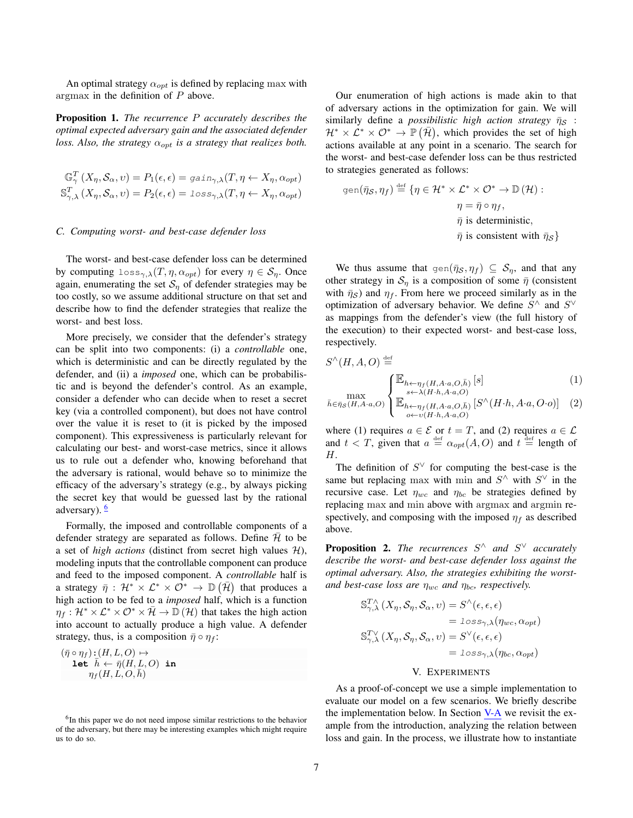An optimal strategy  $\alpha_{opt}$  is defined by replacing max with argmax in the definition of P above.

Proposition 1. *The recurrence* P *accurately describes the optimal expected adversary gain and the associated defender loss. Also, the strategy*  $\alpha_{opt}$  *is a strategy that realizes both.* 

$$
\mathbb{G}_{\gamma}^{T}(X_{\eta}, \mathcal{S}_{\alpha}, v) = P_{1}(\epsilon, \epsilon) = \text{gain}_{\gamma, \lambda}(T, \eta \leftarrow X_{\eta}, \alpha_{opt})
$$
  

$$
\mathbb{S}_{\gamma, \lambda}^{T}(X_{\eta}, \mathcal{S}_{\alpha}, v) = P_{2}(\epsilon, \epsilon) = \text{loss}_{\gamma, \lambda}(T, \eta \leftarrow X_{\eta}, \alpha_{opt})
$$

### <span id="page-6-2"></span>*C. Computing worst- and best-case defender loss*

The worst- and best-case defender loss can be determined by computing  $\text{loss}_{\gamma,\lambda}(T,\eta,\alpha_{opt})$  for every  $\eta \in \mathcal{S}_n$ . Once again, enumerating the set  $S_n$  of defender strategies may be too costly, so we assume additional structure on that set and describe how to find the defender strategies that realize the worst- and best loss.

More precisely, we consider that the defender's strategy can be split into two components: (i) a *controllable* one, which is deterministic and can be directly regulated by the defender, and (ii) a *imposed* one, which can be probabilistic and is beyond the defender's control. As an example, consider a defender who can decide when to reset a secret key (via a controlled component), but does not have control over the value it is reset to (it is picked by the imposed component). This expressiveness is particularly relevant for calculating our best- and worst-case metrics, since it allows us to rule out a defender who, knowing beforehand that the adversary is rational, would behave so to minimize the efficacy of the adversary's strategy (e.g., by always picking the secret key that would be guessed last by the rational adversary).  $\frac{6}{5}$  $\frac{6}{5}$  $\frac{6}{5}$ 

Formally, the imposed and controllable components of a defender strategy are separated as follows. Define  $H$  to be a set of *high actions* (distinct from secret high values  $H$ ), modeling inputs that the controllable component can produce and feed to the imposed component. A *controllable* half is a strategy  $\bar{\eta}$  :  $\mathcal{H}^* \times \mathcal{L}^* \times \mathcal{O}^* \to \mathbb{D}(\bar{\mathcal{H}})$  that produces a high action to be fed to a *imposed* half, which is a function  $\eta_f : \mathcal{H}^* \times \mathcal{L}^* \times \mathcal{O}^* \times \overline{\mathcal{H}} \to \mathbb{D}(\mathcal{H})$  that takes the high action into account to actually produce a high value. A defender strategy, thus, is a composition  $\bar{\eta} \circ \eta_f$ :

$$
(\bar{\eta}\circ\eta_f) : (H,L,O)\mapsto\\ \textbf{let} \ \bar{h}\leftarrow \bar{\eta}(H,L,O) \ \ \textbf{in}\\ \eta_f(H,L,O,\bar{h})
$$

Our enumeration of high actions is made akin to that of adversary actions in the optimization for gain. We will similarly define a *possibilistic high action strategy*  $\bar{\eta}_S$ :  $\mathcal{H}^* \times \mathcal{L}^* \times \mathcal{O}^* \to \mathbb{P}(\bar{\mathcal{H}})$ , which provides the set of high actions available at any point in a scenario. The search for the worst- and best-case defender loss can be thus restricted to strategies generated as follows:

gen
$$
(\bar{\eta}_{\mathcal{S}}, \eta_{f}) \stackrel{\text{def}}{=} \{ \eta \in \mathcal{H}^* \times \mathcal{L}^* \times \mathcal{O}^* \to \mathbb{D}(\mathcal{H}) : \eta = \bar{\eta} \circ \eta_{f},
$$
  
\n $\bar{\eta} \text{ is deterministic},$   
\n $\bar{\eta} \text{ is consistent with } \bar{\eta}_{\mathcal{S}} \}$ 

We thus assume that  $\varphi(n\bar{q}_\mathcal{S}, \eta_f) \subseteq \mathcal{S}_\eta$ , and that any other strategy in  $S_{\eta}$  is a composition of some  $\bar{\eta}$  (consistent with  $\bar{\eta}_s$ ) and  $\eta_f$ . From here we proceed similarly as in the optimization of adversary behavior. We define  $S^{\wedge}$  and  $S^{\vee}$ as mappings from the defender's view (the full history of the execution) to their expected worst- and best-case loss, respectively.

$$
S^{\wedge}(H, A, O) \stackrel{\text{def}}{=} \prod_{\substack{\text{max} \\ \text{max} \\ \overline{b} \in \overline{n}_{\ell}(H, A \cdot a, O)} \left\{ \mathbb{E}_{h \leftarrow \eta_{f}(H, A \cdot a, O, \overline{h})} \left[ s \right] \right\}
$$
 (1)

$$
\max_{\bar{h}\in\bar{\eta}_{\mathcal{S}}(H,A\cdot a,O)}\left\{\mathbb{E}_{\substack{h\leftarrow \eta_{f}(H,A\cdot a,O,\bar{h})\\o\leftarrow v(H\cdot h,A\cdot a,O)}}\left[S^{\wedge}(H\cdot h,A\cdot a,O\cdot o)\right]\right\}
$$
 (2)

where (1) requires  $a \in \mathcal{E}$  or  $t = T$ , and (2) requires  $a \in \mathcal{L}$ and  $t < T$ , given that  $a \stackrel{\text{def}}{=} \alpha_{opt}(A, O)$  and  $t \stackrel{\text{def}}{=}$  length of H.

The definition of  $S^{\vee}$  for computing the best-case is the same but replacing max with min and  $S^{\wedge}$  with  $S^{\vee}$  in the recursive case. Let  $\eta_{wc}$  and  $\eta_{bc}$  be strategies defined by replacing max and min above with argmax and argmin respectively, and composing with the imposed  $\eta_f$  as described above.

Proposition 2. *The recurrences* S <sup>∧</sup> *and* S <sup>∨</sup> *accurately describe the worst- and best-case defender loss against the optimal adversary. Also, the strategies exhibiting the worstand best-case loss are*  $\eta_{wc}$  *and*  $\eta_{bc}$ *, respectively.* 

$$
\begin{aligned} \mathbb{S}_{\gamma,\lambda}^{T\wedge}(X_{\eta},\mathcal{S}_{\eta},\mathcal{S}_{\alpha},v) &= S^{\wedge}(\epsilon,\epsilon,\epsilon) \\ &= \text{loss}_{\gamma,\lambda}(\eta_{wc},\alpha_{opt}) \\ \mathbb{S}_{\gamma,\lambda}^{T\vee}(X_{\eta},\mathcal{S}_{\eta},\mathcal{S}_{\alpha},v) &= S^{\vee}(\epsilon,\epsilon,\epsilon) \\ &= \text{loss}_{\gamma,\lambda}(\eta_{bc},\alpha_{opt}) \end{aligned}
$$

# V. EXPERIMENTS

<span id="page-6-0"></span>As a proof-of-concept we use a simple implementation to evaluate our model on a few scenarios. We briefly describe the implementation below. In Section [V-A](#page-7-0) we revisit the example from the introduction, analyzing the relation between loss and gain. In the process, we illustrate how to instantiate

<span id="page-6-1"></span><sup>&</sup>lt;sup>6</sup>In this paper we do not need impose similar restrictions to the behavior of the adversary, but there may be interesting examples which might require us to do so.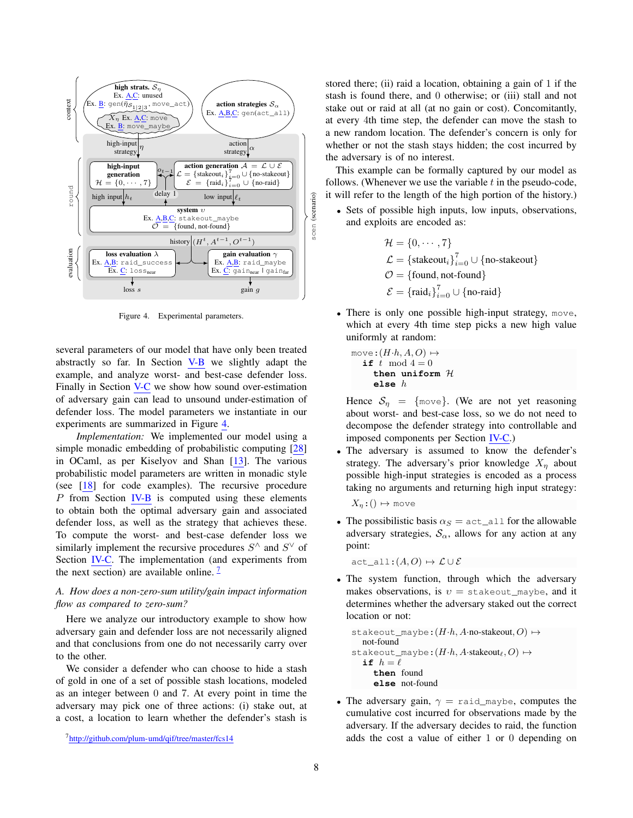

<span id="page-7-1"></span>Figure 4. Experimental parameters.

several parameters of our model that have only been treated abstractly so far. In Section [V-B](#page-8-0) we slightly adapt the example, and analyze worst- and best-case defender loss. Finally in Section [V-C](#page-9-0) we show how sound over-estimation of adversary gain can lead to unsound under-estimation of defender loss. The model parameters we instantiate in our experiments are summarized in Figure [4.](#page-7-1)

*Implementation:* We implemented our model using a simple monadic embedding of probabilistic computing [\[28\]](#page-12-18) in OCaml, as per Kiselyov and Shan [\[13\]](#page-12-19). The various probabilistic model parameters are written in monadic style (see [\[18\]](#page-12-10) for code examples). The recursive procedure  $P$  from Section [IV-B](#page-5-1) is computed using these elements to obtain both the optimal adversary gain and associated defender loss, as well as the strategy that achieves these. To compute the worst- and best-case defender loss we similarly implement the recursive procedures  $S^{\wedge}$  and  $S^{\vee}$  of Section [IV-C.](#page-6-2) The implementation (and experiments from the next section) are available online.  $\frac{7}{1}$  $\frac{7}{1}$  $\frac{7}{1}$ 

# <span id="page-7-0"></span>*A. How does a non-zero-sum utility/gain impact information flow as compared to zero-sum?*

Here we analyze our introductory example to show how adversary gain and defender loss are not necessarily aligned and that conclusions from one do not necessarily carry over to the other.

We consider a defender who can choose to hide a stash of gold in one of a set of possible stash locations, modeled as an integer between 0 and 7. At every point in time the adversary may pick one of three actions: (i) stake out, at a cost, a location to learn whether the defender's stash is stored there; (ii) raid a location, obtaining a gain of 1 if the stash is found there, and 0 otherwise; or (iii) stall and not stake out or raid at all (at no gain or cost). Concomitantly, at every 4th time step, the defender can move the stash to a new random location. The defender's concern is only for whether or not the stash stays hidden; the cost incurred by the adversary is of no interest.

This example can be formally captured by our model as follows. (Whenever we use the variable  $t$  in the pseudo-code, it will refer to the length of the high portion of the history.)

• Sets of possible high inputs, low inputs, observations, and exploits are encoded as:

$$
\mathcal{H} = \{0, \dots, 7\}
$$
  
\n
$$
\mathcal{L} = \{\text{stakeout}_i\}_{i=0}^7 \cup \{\text{no-stakeout}\}\
$$
  
\n
$$
\mathcal{O} = \{\text{found}, \text{not-fournd}\}\
$$
  
\n
$$
\mathcal{E} = \{\text{raid}_i\}_{i=0}^7 \cup \{\text{no-raid}\}\
$$

• There is only one possible high-input strategy, move, which at every 4th time step picks a new high value uniformly at random:

$$
\begin{array}{ll}\texttt{move:} (H \cdot h, A, O) \mapsto \\ \texttt{if} \; t \; \; \texttt{mod} \; 4 = 0 \\ \texttt{then} \; \texttt{uniform} \; \mathcal{H} \\ \texttt{else} \; h \end{array}
$$

Hence  $S_n$  = {move}. (We are not yet reasoning about worst- and best-case loss, so we do not need to decompose the defender strategy into controllable and imposed components per Section [IV-C.](#page-6-2))

• The adversary is assumed to know the defender's strategy. The adversary's prior knowledge  $X_n$  about possible high-input strategies is encoded as a process taking no arguments and returning high input strategy:

 $X_n$ : ()  $\mapsto$  move

• The possibilistic basis  $\alpha_S = \text{act\_all}$  for the allowable adversary strategies,  $S_\alpha$ , allows for any action at any point:

act\_all: $(A, O) \mapsto \mathcal{L} \cup \mathcal{E}$ 

• The system function, through which the adversary makes observations, is  $v =$  stakeout\_maybe, and it determines whether the adversary staked out the correct location or not:

```
stakeout_maybe:(H \cdot h, A \cdot \text{no-stakeout}, O) \mapstonot-found
stakeout_maybe:(H \cdot h, A \cdot \text{stakeout}_\ell, O) \mapstoif h = \ellthen found
      else not-found
```
• The adversary gain,  $\gamma$  = raid\_maybe, computes the cumulative cost incurred for observations made by the adversary. If the adversary decides to raid, the function adds the cost a value of either 1 or 0 depending on

<span id="page-7-2"></span><sup>7</sup><http://github.com/plum-umd/qif/tree/master/fcs14>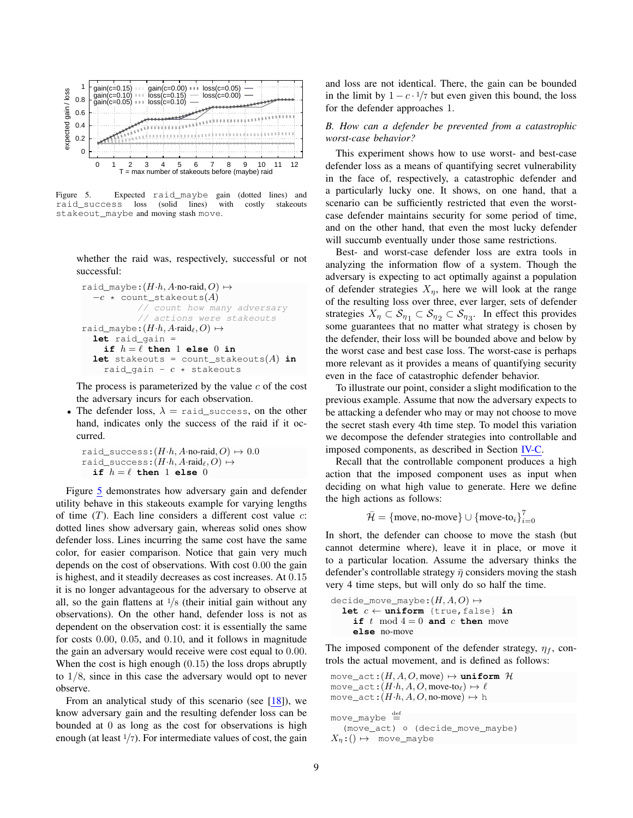

<span id="page-8-1"></span>Figure 5. Expected raid\_maybe gain (dotted lines) and raid\_success loss (solid lines) with costly stakeouts stakeout\_maybe and moving stash move.

whether the raid was, respectively, successful or not successful:

```
raid maybe:(H·h, A·no\text{-}raid, O) \mapsto-c * count_stakeouts(A)
            // count how many adversary
            // actions were stakeouts
raid_maybe:(H \cdot h, A \cdot \text{raid}_\ell, O) \mapstolet raid_gain =
     if h = \ell then 1 else 0 in
  let stakeouts = count_stakeouts(A) in
     raid_gain - c \times stakeouts
```
The process is parameterized by the value  $c$  of the cost the adversary incurs for each observation.

• The defender loss,  $\lambda$  = raid\_success, on the other hand, indicates only the success of the raid if it occurred.

```
raid_success:(H \cdot h, A \cdot \text{no-raid}, O) \mapsto 0.0raid_success:(H \cdot h, A \cdot \text{raid}_\ell, O) \mapstoif h = \ell then 1 else 0
```
Figure [5](#page-8-1) demonstrates how adversary gain and defender utility behave in this stakeouts example for varying lengths of time  $(T)$ . Each line considers a different cost value  $c$ : dotted lines show adversary gain, whereas solid ones show defender loss. Lines incurring the same cost have the same color, for easier comparison. Notice that gain very much depends on the cost of observations. With cost 0.00 the gain is highest, and it steadily decreases as cost increases. At 0.15 it is no longer advantageous for the adversary to observe at all, so the gain flattens at  $\frac{1}{8}$  (their initial gain without any observations). On the other hand, defender loss is not as dependent on the observation cost: it is essentially the same for costs 0.00, 0.05, and 0.10, and it follows in magnitude the gain an adversary would receive were cost equal to 0.00. When the cost is high enough  $(0.15)$  the loss drops abruptly to 1/8, since in this case the adversary would opt to never observe.

From an analytical study of this scenario (see  $[18]$ ), we know adversary gain and the resulting defender loss can be bounded at 0 as long as the cost for observations is high enough (at least  $1/7$ ). For intermediate values of cost, the gain and loss are not identical. There, the gain can be bounded in the limit by  $1 - c \cdot \frac{1}{7}$  but even given this bound, the loss for the defender approaches 1.

### <span id="page-8-0"></span>*B. How can a defender be prevented from a catastrophic worst-case behavior?*

This experiment shows how to use worst- and best-case defender loss as a means of quantifying secret vulnerability in the face of, respectively, a catastrophic defender and a particularly lucky one. It shows, on one hand, that a scenario can be sufficiently restricted that even the worstcase defender maintains security for some period of time, and on the other hand, that even the most lucky defender will succumb eventually under those same restrictions.

Best- and worst-case defender loss are extra tools in analyzing the information flow of a system. Though the adversary is expecting to act optimally against a population of defender strategies  $X_{\eta}$ , here we will look at the range of the resulting loss over three, ever larger, sets of defender strategies  $X_{\eta} \subset \mathcal{S}_{\eta} \subset \mathcal{S}_{\eta} \subset \mathcal{S}_{\eta}$ . In effect this provides some guarantees that no matter what strategy is chosen by the defender, their loss will be bounded above and below by the worst case and best case loss. The worst-case is perhaps more relevant as it provides a means of quantifying security even in the face of catastrophic defender behavior.

To illustrate our point, consider a slight modification to the previous example. Assume that now the adversary expects to be attacking a defender who may or may not choose to move the secret stash every 4th time step. To model this variation we decompose the defender strategies into controllable and imposed components, as described in Section [IV-C.](#page-6-2)

Recall that the controllable component produces a high action that the imposed component uses as input when deciding on what high value to generate. Here we define the high actions as follows:

$$
\bar{\mathcal{H}} = \{\text{move}, \text{no-move}\} \cup \{\text{move-to}_i\}_{i=0}^7
$$

In short, the defender can choose to move the stash (but cannot determine where), leave it in place, or move it to a particular location. Assume the adversary thinks the defender's controllable strategy  $\bar{\eta}$  considers moving the stash very 4 time steps, but will only do so half the time.

decide\_move\_maybe:  $(H, A, O) \mapsto$ **let**  $c \leftarrow \text{uniform}$  {true, false} in **if**  $t \mod 4 = 0$  **and**  $c$  **then** move **else** no-move

The imposed component of the defender strategy,  $\eta_f$ , controls the actual movement, and is defined as follows:

```
move\_act:(H, A, O, move) \mapsto uniform H
move_act:(H \cdot h, A, O, \text{move-to}_\ell) \mapsto \ellmove_act:(H \cdot h, A, O, \text{no-move}) \mapsto h
```

```
move\_maybe \triangleq(move_act) ◦ (decide_move_maybe)
X_{\eta}:() \mapsto \text{move\_maybe}
```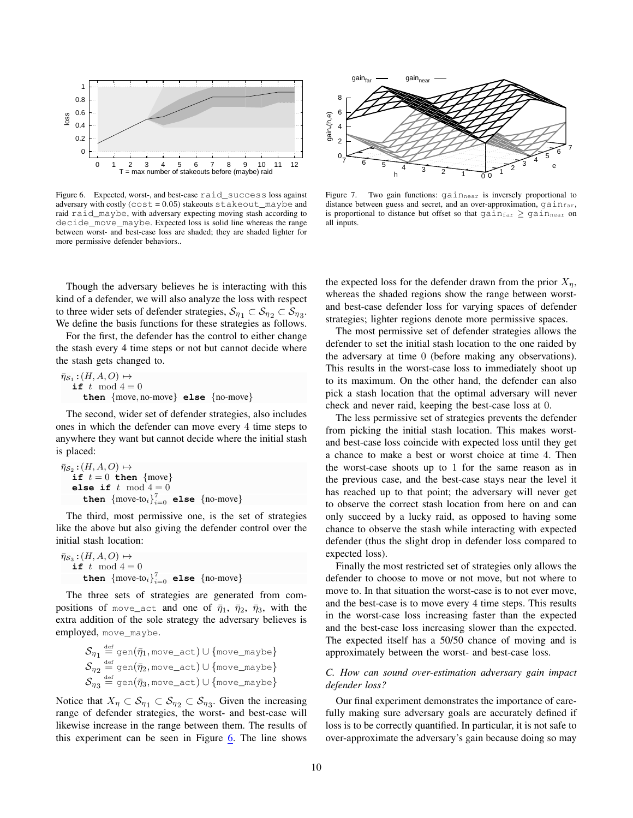

<span id="page-9-1"></span>Figure 6. Expected, worst-, and best-case raid\_success loss against adversary with costly ( $cost = 0.05$ ) stakeouts stakeout\_maybe and raid raid\_maybe, with adversary expecting moving stash according to decide\_move\_maybe. Expected loss is solid line whereas the range between worst- and best-case loss are shaded; they are shaded lighter for more permissive defender behaviors..

Though the adversary believes he is interacting with this kind of a defender, we will also analyze the loss with respect to three wider sets of defender strategies,  $\mathcal{S}_{\eta_1} \subset \mathcal{S}_{\eta_2} \subset \mathcal{S}_{\eta_3}$ . We define the basis functions for these strategies as follows.

For the first, the defender has the control to either change the stash every 4 time steps or not but cannot decide where the stash gets changed to.

 $\bar{\eta}_{\mathcal{S}_1}$ : $(H, A, O) \mapsto$ **if**  $t \mod 4 = 0$ **then** {move, no-move} **else** {no-move}

The second, wider set of defender strategies, also includes ones in which the defender can move every 4 time steps to anywhere they want but cannot decide where the initial stash is placed:

$$
\begin{array}{l} \bar{\eta}_{S_2} : (H, A, O) \mapsto \\ \text{if } t = 0 \text{ then } \{ \text{move} \} \\ \text{else if } t \mod 4 = 0 \\ \text{then } \{ \text{move-to}_i \}_{i=0}^7 \text{ else } \{ \text{no-move} \} \end{array}
$$

The third, most permissive one, is the set of strategies like the above but also giving the defender control over the initial stash location:

 $\bar{\eta}_{\mathcal{S}_3}$ : $(H, A, O) \mapsto$ **if**  $t \mod 4 = 0$ then  $\left\{\text{move-to}_i\right\}_{i=0}^7$  else  $\left\{\text{no-move}\right\}$ 

The three sets of strategies are generated from compositions of move\_act and one of  $\bar{\eta}_1$ ,  $\bar{\eta}_2$ ,  $\bar{\eta}_3$ , with the extra addition of the sole strategy the adversary believes is employed, move\_maybe.

$$
\begin{array}{l} \mathcal{S}_{\eta_1} \stackrel{\text{def}}{=} \text{gen}(\bar{\eta}_1, \text{move\_act}) \cup \{\text{move\_maybe}\} \\ \mathcal{S}_{\eta_2} \stackrel{\text{def}}{=} \text{gen}(\bar{\eta}_2, \text{move\_act}) \cup \{\text{move\_maybe}\} \\ \mathcal{S}_{\eta_3} \stackrel{\text{def}}{=} \text{gen}(\bar{\eta}_3, \text{move\_act}) \cup \{\text{move\_maybe}\} \end{array}
$$

Notice that  $X_{\eta} \subset \mathcal{S}_{\eta} \subset \mathcal{S}_{\eta} \subset \mathcal{S}_{\eta}$ . Given the increasing range of defender strategies, the worst- and best-case will likewise increase in the range between them. The results of this experiment can be seen in Figure [6.](#page-9-1) The line shows



<span id="page-9-2"></span>Figure 7. Two gain functions:  $\text{gain}_{\text{near}}$  is inversely proportional to distance between guess and secret, and an over-approximation,  $gain_{far}$ , is proportional to distance but offset so that  $\text{gain}_{\text{far}} \geq \text{gain}_{\text{near}}$  on all inputs.

the expected loss for the defender drawn from the prior  $X_n$ , whereas the shaded regions show the range between worstand best-case defender loss for varying spaces of defender strategies; lighter regions denote more permissive spaces.

The most permissive set of defender strategies allows the defender to set the initial stash location to the one raided by the adversary at time 0 (before making any observations). This results in the worst-case loss to immediately shoot up to its maximum. On the other hand, the defender can also pick a stash location that the optimal adversary will never check and never raid, keeping the best-case loss at 0.

The less permissive set of strategies prevents the defender from picking the initial stash location. This makes worstand best-case loss coincide with expected loss until they get a chance to make a best or worst choice at time 4. Then the worst-case shoots up to 1 for the same reason as in the previous case, and the best-case stays near the level it has reached up to that point; the adversary will never get to observe the correct stash location from here on and can only succeed by a lucky raid, as opposed to having some chance to observe the stash while interacting with expected defender (thus the slight drop in defender loss compared to expected loss).

Finally the most restricted set of strategies only allows the defender to choose to move or not move, but not where to move to. In that situation the worst-case is to not ever move, and the best-case is to move every 4 time steps. This results in the worst-case loss increasing faster than the expected and the best-case loss increasing slower than the expected. The expected itself has a 50/50 chance of moving and is approximately between the worst- and best-case loss.

### <span id="page-9-0"></span>*C. How can sound over-estimation adversary gain impact defender loss?*

Our final experiment demonstrates the importance of carefully making sure adversary goals are accurately defined if loss is to be correctly quantified. In particular, it is not safe to over-approximate the adversary's gain because doing so may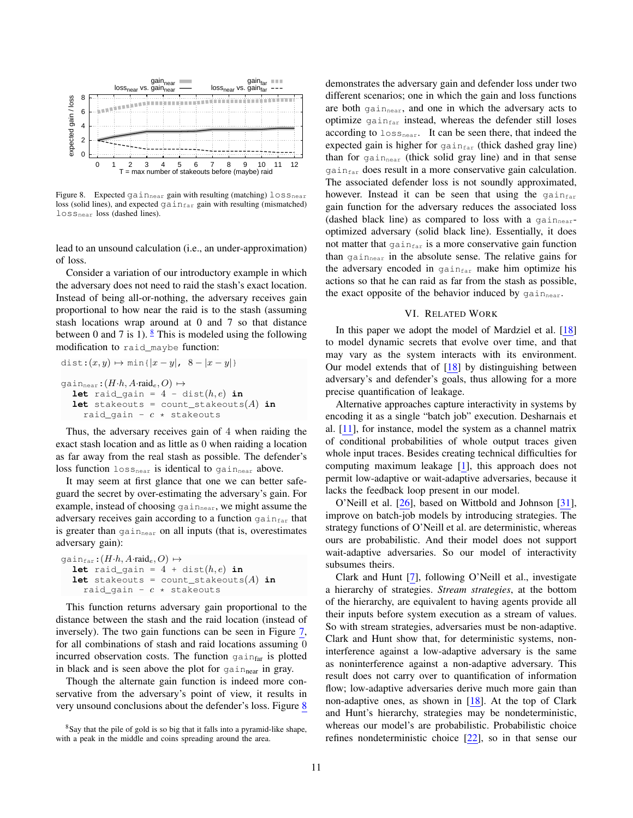

<span id="page-10-2"></span>Figure 8. Expected  $gain_{near}$  gain with resulting (matching)  $loss_{near}$ loss (solid lines), and expected  $\text{gain}_{\text{far}}$  gain with resulting (mismatched) lossnear loss (dashed lines).

lead to an unsound calculation (i.e., an under-approximation) of loss.

Consider a variation of our introductory example in which the adversary does not need to raid the stash's exact location. Instead of being all-or-nothing, the adversary receives gain proportional to how near the raid is to the stash (assuming stash locations wrap around at 0 and 7 so that distance between 0 and 7 is 1).  $\frac{8}{3}$  $\frac{8}{3}$  $\frac{8}{3}$  This is modeled using the following modification to raid\_maybe function:

$$
\text{dist:}(x, y) \mapsto \min\{|x - y|, 8 - |x - y|\}
$$
\n
$$
\text{gain}_{\text{near}}: (H \cdot h, A \cdot \text{raid}_c, O) \mapsto
$$
\n
$$
\text{let } \text{raid}_g \text{ain} = 4 - \text{dist}(h, e) \text{ in}
$$
\n
$$
\text{let } \text{stateouts} = \text{count}_\text{stateouts}(A) \text{ in}
$$
\n
$$
\text{raid}_g \text{ain} - c \star \text{stateouts}
$$

Thus, the adversary receives gain of 4 when raiding the exact stash location and as little as 0 when raiding a location as far away from the real stash as possible. The defender's loss function  $loss_{near}$  is identical to gain<sub>near</sub> above.

It may seem at first glance that one we can better safeguard the secret by over-estimating the adversary's gain. For example, instead of choosing  $\varphi$  ain<sub>near</sub>, we might assume the adversary receives gain according to a function  $\gamma$  gain $_{\text{far}}$  that is greater than  $\varphi_{\text{main}}$  on all inputs (that is, overestimates adversary gain):

```
\varphiqain<sub>far</sub>:(H \cdot h, A \cdot \text{raid}_e, O) \mapstolet raid_gain = 4 + dist(h, e) in
  let stakeouts = count_stakeouts(A) in
      raid_gain - c \times stakeouts
```
This function returns adversary gain proportional to the distance between the stash and the raid location (instead of inversely). The two gain functions can be seen in Figure [7,](#page-9-2) for all combinations of stash and raid locations assuming 0 incurred observation costs. The function gain $_{far}$  is plotted in black and is seen above the plot for  $\gamma$  gainnear in gray.

Though the alternate gain function is indeed more conservative from the adversary's point of view, it results in very unsound conclusions about the defender's loss. Figure [8](#page-10-2) demonstrates the adversary gain and defender loss under two different scenarios; one in which the gain and loss functions are both gain<sub>near</sub>, and one in which the adversary acts to optimize  $\varphi$  gain $f_{\text{far}}$  instead, whereas the defender still loses according to  $\log_{\text{near}}$ . It can be seen there, that indeed the expected gain is higher for  $\sigma_{\text{dip}}$  (thick dashed gray line) than for  $\varphi$  gain<sub>near</sub> (thick solid gray line) and in that sense gain<sub>far</sub> does result in a more conservative gain calculation. The associated defender loss is not soundly approximated, however. Instead it can be seen that using the  $gain_{far}$ gain function for the adversary reduces the associated loss (dashed black line) as compared to loss with a  $q_{\text{dip,}a}$ optimized adversary (solid black line). Essentially, it does not matter that  $\gamma$  gain $f_{\text{far}}$  is a more conservative gain function than gain<sub>near</sub> in the absolute sense. The relative gains for the adversary encoded in  $\gamma$  gain $f_{\text{far}}$  make him optimize his actions so that he can raid as far from the stash as possible, the exact opposite of the behavior induced by  $\gamma$  gain<sub>near</sub>.

### VI. RELATED WORK

<span id="page-10-0"></span>In this paper we adopt the model of Mardziel et al. [\[18\]](#page-12-10) to model dynamic secrets that evolve over time, and that may vary as the system interacts with its environment. Our model extends that of  $[18]$  by distinguishing between adversary's and defender's goals, thus allowing for a more precise quantification of leakage.

Alternative approaches capture interactivity in systems by encoding it as a single "batch job" execution. Desharnais et al. [\[11\]](#page-12-20), for instance, model the system as a channel matrix of conditional probabilities of whole output traces given whole input traces. Besides creating technical difficulties for computing maximum leakage [\[1\]](#page-11-0), this approach does not permit low-adaptive or wait-adaptive adversaries, because it lacks the feedback loop present in our model.

O'Neill et al. [\[26\]](#page-12-21), based on Wittbold and Johnson [\[31\]](#page-12-22), improve on batch-job models by introducing strategies. The strategy functions of O'Neill et al. are deterministic, whereas ours are probabilistic. And their model does not support wait-adaptive adversaries. So our model of interactivity subsumes theirs.

Clark and Hunt [\[7\]](#page-12-23), following O'Neill et al., investigate a hierarchy of strategies. *Stream strategies*, at the bottom of the hierarchy, are equivalent to having agents provide all their inputs before system execution as a stream of values. So with stream strategies, adversaries must be non-adaptive. Clark and Hunt show that, for deterministic systems, noninterference against a low-adaptive adversary is the same as noninterference against a non-adaptive adversary. This result does not carry over to quantification of information flow; low-adaptive adversaries derive much more gain than non-adaptive ones, as shown in [\[18\]](#page-12-10). At the top of Clark and Hunt's hierarchy, strategies may be nondeterministic, whereas our model's are probabilistic. Probabilistic choice refines nondeterministic choice [\[22\]](#page-12-24), so in that sense our

<span id="page-10-1"></span><sup>8</sup>Say that the pile of gold is so big that it falls into a pyramid-like shape, with a peak in the middle and coins spreading around the area.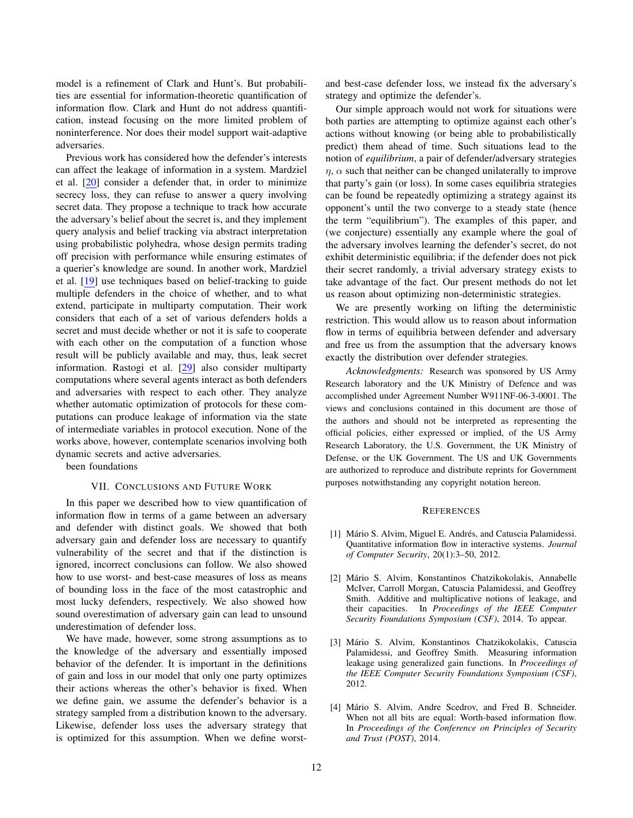model is a refinement of Clark and Hunt's. But probabilities are essential for information-theoretic quantification of information flow. Clark and Hunt do not address quantification, instead focusing on the more limited problem of noninterference. Nor does their model support wait-adaptive adversaries.

Previous work has considered how the defender's interests can affect the leakage of information in a system. Mardziel et al. [\[20\]](#page-12-25) consider a defender that, in order to minimize secrecy loss, they can refuse to answer a query involving secret data. They propose a technique to track how accurate the adversary's belief about the secret is, and they implement query analysis and belief tracking via abstract interpretation using probabilistic polyhedra, whose design permits trading off precision with performance while ensuring estimates of a querier's knowledge are sound. In another work, Mardziel et al. [\[19\]](#page-12-26) use techniques based on belief-tracking to guide multiple defenders in the choice of whether, and to what extend, participate in multiparty computation. Their work considers that each of a set of various defenders holds a secret and must decide whether or not it is safe to cooperate with each other on the computation of a function whose result will be publicly available and may, thus, leak secret information. Rastogi et al. [\[29\]](#page-12-27) also consider multiparty computations where several agents interact as both defenders and adversaries with respect to each other. They analyze whether automatic optimization of protocols for these computations can produce leakage of information via the state of intermediate variables in protocol execution. None of the works above, however, contemplate scenarios involving both dynamic secrets and active adversaries.

<span id="page-11-2"></span>been foundations

### VII. CONCLUSIONS AND FUTURE WORK

In this paper we described how to view quantification of information flow in terms of a game between an adversary and defender with distinct goals. We showed that both adversary gain and defender loss are necessary to quantify vulnerability of the secret and that if the distinction is ignored, incorrect conclusions can follow. We also showed how to use worst- and best-case measures of loss as means of bounding loss in the face of the most catastrophic and most lucky defenders, respectively. We also showed how sound overestimation of adversary gain can lead to unsound underestimation of defender loss.

We have made, however, some strong assumptions as to the knowledge of the adversary and essentially imposed behavior of the defender. It is important in the definitions of gain and loss in our model that only one party optimizes their actions whereas the other's behavior is fixed. When we define gain, we assume the defender's behavior is a strategy sampled from a distribution known to the adversary. Likewise, defender loss uses the adversary strategy that is optimized for this assumption. When we define worstand best-case defender loss, we instead fix the adversary's strategy and optimize the defender's.

Our simple approach would not work for situations were both parties are attempting to optimize against each other's actions without knowing (or being able to probabilistically predict) them ahead of time. Such situations lead to the notion of *equilibrium*, a pair of defender/adversary strategies  $\eta$ ,  $\alpha$  such that neither can be changed unilaterally to improve that party's gain (or loss). In some cases equilibria strategies can be found be repeatedly optimizing a strategy against its opponent's until the two converge to a steady state (hence the term "equilibrium"). The examples of this paper, and (we conjecture) essentially any example where the goal of the adversary involves learning the defender's secret, do not exhibit deterministic equilibria; if the defender does not pick their secret randomly, a trivial adversary strategy exists to take advantage of the fact. Our present methods do not let us reason about optimizing non-deterministic strategies.

We are presently working on lifting the deterministic restriction. This would allow us to reason about information flow in terms of equilibria between defender and adversary and free us from the assumption that the adversary knows exactly the distribution over defender strategies.

*Acknowledgments:* Research was sponsored by US Army Research laboratory and the UK Ministry of Defence and was accomplished under Agreement Number W911NF-06-3-0001. The views and conclusions contained in this document are those of the authors and should not be interpreted as representing the official policies, either expressed or implied, of the US Army Research Laboratory, the U.S. Government, the UK Ministry of Defense, or the UK Government. The US and UK Governments are authorized to reproduce and distribute reprints for Government purposes notwithstanding any copyright notation hereon.

### **REFERENCES**

- <span id="page-11-0"></span>[1] Mário S. Alvim, Miguel E. Andrés, and Catuscia Palamidessi. Quantitative information flow in interactive systems. *Journal of Computer Security*, 20(1):3–50, 2012.
- <span id="page-11-3"></span>[2] Mário S. Alvim, Konstantinos Chatzikokolakis, Annabelle McIver, Carroll Morgan, Catuscia Palamidessi, and Geoffrey Smith. Additive and multiplicative notions of leakage, and their capacities. In *Proceedings of the IEEE Computer Security Foundations Symposium (CSF)*, 2014. To appear.
- <span id="page-11-1"></span>[3] Mário S. Alvim, Konstantinos Chatzikokolakis, Catuscia Palamidessi, and Geoffrey Smith. Measuring information leakage using generalized gain functions. In *Proceedings of the IEEE Computer Security Foundations Symposium (CSF)*, 2012.
- [4] Mário S. Alvim, Andre Scedrov, and Fred B. Schneider. When not all bits are equal: Worth-based information flow. In *Proceedings of the Conference on Principles of Security and Trust (POST)*, 2014.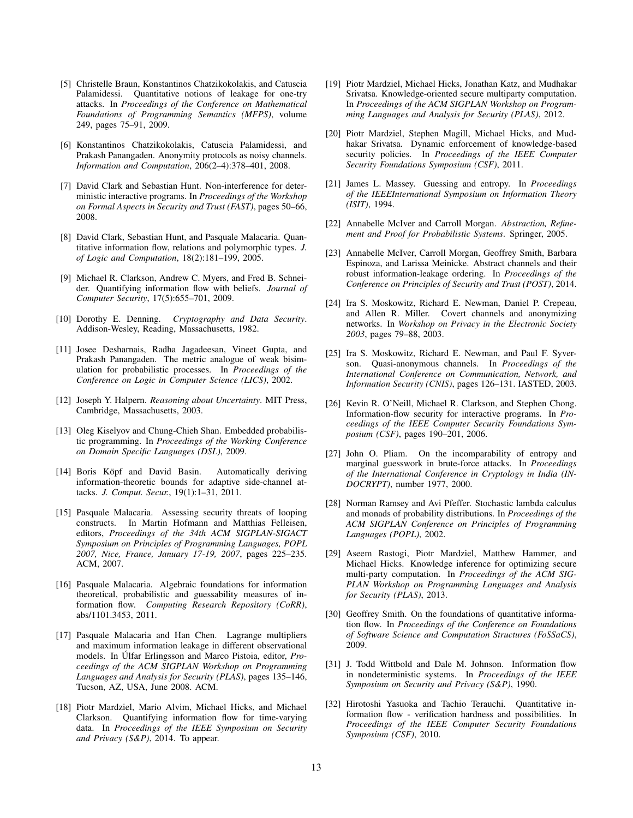- <span id="page-12-0"></span>[5] Christelle Braun, Konstantinos Chatzikokolakis, and Catuscia Palamidessi. Quantitative notions of leakage for one-try attacks. In *Proceedings of the Conference on Mathematical Foundations of Programming Semantics (MFPS)*, volume 249, pages 75–91, 2009.
- <span id="page-12-13"></span>[6] Konstantinos Chatzikokolakis, Catuscia Palamidessi, and Prakash Panangaden. Anonymity protocols as noisy channels. *Information and Computation*, 206(2–4):378–401, 2008.
- <span id="page-12-23"></span>[7] David Clark and Sebastian Hunt. Non-interference for deterministic interactive programs. In *Proceedings of the Workshop on Formal Aspects in Security and Trust (FAST)*, pages 50–66, 2008.
- <span id="page-12-1"></span>[8] David Clark, Sebastian Hunt, and Pasquale Malacaria. Quantitative information flow, relations and polymorphic types. *J. of Logic and Computation*, 18(2):181–199, 2005.
- <span id="page-12-2"></span>[9] Michael R. Clarkson, Andrew C. Myers, and Fred B. Schneider. Quantifying information flow with beliefs. *Journal of Computer Security*, 17(5):655–701, 2009.
- <span id="page-12-11"></span>[10] Dorothy E. Denning. *Cryptography and Data Security*. Addison-Wesley, Reading, Massachusetts, 1982.
- <span id="page-12-20"></span>[11] Josee Desharnais, Radha Jagadeesan, Vineet Gupta, and Prakash Panangaden. The metric analogue of weak bisimulation for probabilistic processes. In *Proceedings of the Conference on Logic in Computer Science (LICS)*, 2002.
- <span id="page-12-12"></span>[12] Joseph Y. Halpern. *Reasoning about Uncertainty*. MIT Press, Cambridge, Massachusetts, 2003.
- <span id="page-12-19"></span>[13] Oleg Kiselyov and Chung-Chieh Shan. Embedded probabilistic programming. In *Proceedings of the Working Conference on Domain Specific Languages (DSL)*, 2009.
- <span id="page-12-8"></span>[14] Boris Köpf and David Basin. Automatically deriving information-theoretic bounds for adaptive side-channel attacks. *J. Comput. Secur.*, 19(1):1–31, 2011.
- <span id="page-12-15"></span>[15] Pasquale Malacaria. Assessing security threats of looping constructs. In Martin Hofmann and Matthias Felleisen, editors, *Proceedings of the 34th ACM SIGPLAN-SIGACT Symposium on Principles of Programming Languages, POPL 2007, Nice, France, January 17-19, 2007*, pages 225–235. ACM, 2007.
- <span id="page-12-3"></span>[16] Pasquale Malacaria. Algebraic foundations for information theoretical, probabilistic and guessability measures of information flow. *Computing Research Repository (CoRR)*, abs/1101.3453, 2011.
- <span id="page-12-9"></span>[17] Pasquale Malacaria and Han Chen. Lagrange multipliers and maximum information leakage in different observational models. In Úlfar Erlingsson and Marco Pistoia, editor, *Proceedings of the ACM SIGPLAN Workshop on Programming Languages and Analysis for Security (PLAS)*, pages 135–146, Tucson, AZ, USA, June 2008. ACM.
- <span id="page-12-10"></span>[18] Piotr Mardziel, Mario Alvim, Michael Hicks, and Michael Clarkson. Quantifying information flow for time-varying data. In *Proceedings of the IEEE Symposium on Security and Privacy (S&P)*, 2014. To appear.
- <span id="page-12-26"></span>[19] Piotr Mardziel, Michael Hicks, Jonathan Katz, and Mudhakar Srivatsa. Knowledge-oriented secure multiparty computation. In *Proceedings of the ACM SIGPLAN Workshop on Programming Languages and Analysis for Security (PLAS)*, 2012.
- <span id="page-12-25"></span>[20] Piotr Mardziel, Stephen Magill, Michael Hicks, and Mudhakar Srivatsa. Dynamic enforcement of knowledge-based security policies. In *Proceedings of the IEEE Computer Security Foundations Symposium (CSF)*, 2011.
- <span id="page-12-17"></span>[21] James L. Massey. Guessing and entropy. In *Proceedings of the IEEEInternational Symposium on Information Theory (ISIT)*, 1994.
- <span id="page-12-24"></span>[22] Annabelle McIver and Carroll Morgan. *Abstraction, Refinement and Proof for Probabilistic Systems*. Springer, 2005.
- <span id="page-12-4"></span>[23] Annabelle McIver, Carroll Morgan, Geoffrey Smith, Barbara Espinoza, and Larissa Meinicke. Abstract channels and their robust information-leakage ordering. In *Proceedings of the Conference on Principles of Security and Trust (POST)*, 2014.
- <span id="page-12-16"></span>[24] Ira S. Moskowitz, Richard E. Newman, Daniel P. Crepeau, and Allen R. Miller. Covert channels and anonymizing networks. In *Workshop on Privacy in the Electronic Society 2003*, pages 79–88, 2003.
- <span id="page-12-14"></span>[25] Ira S. Moskowitz, Richard E. Newman, and Paul F. Syverson. Quasi-anonymous channels. In *Proceedings of the International Conference on Communication, Network, and Information Security (CNIS)*, pages 126–131. IASTED, 2003.
- <span id="page-12-21"></span>[26] Kevin R. O'Neill, Michael R. Clarkson, and Stephen Chong. Information-flow security for interactive programs. In *Proceedings of the IEEE Computer Security Foundations Symposium (CSF)*, pages 190–201, 2006.
- <span id="page-12-5"></span>[27] John O. Pliam. On the incomparability of entropy and marginal guesswork in brute-force attacks. In *Proceedings of the International Conference in Cryptology in India (IN-DOCRYPT)*, number 1977, 2000.
- <span id="page-12-18"></span>[28] Norman Ramsey and Avi Pfeffer. Stochastic lambda calculus and monads of probability distributions. In *Proceedings of the ACM SIGPLAN Conference on Principles of Programming Languages (POPL)*, 2002.
- <span id="page-12-27"></span>[29] Aseem Rastogi, Piotr Mardziel, Matthew Hammer, and Michael Hicks. Knowledge inference for optimizing secure multi-party computation. In *Proceedings of the ACM SIG-PLAN Workshop on Programming Languages and Analysis for Security (PLAS)*, 2013.
- <span id="page-12-6"></span>[30] Geoffrey Smith. On the foundations of quantitative information flow. In *Proceedings of the Conference on Foundations of Software Science and Computation Structures (FoSSaCS)*, 2009.
- <span id="page-12-22"></span>[31] J. Todd Wittbold and Dale M. Johnson. Information flow in nondeterministic systems. In *Proceedings of the IEEE Symposium on Security and Privacy (S&P)*, 1990.
- <span id="page-12-7"></span>[32] Hirotoshi Yasuoka and Tachio Terauchi. Quantitative information flow - verification hardness and possibilities. In *Proceedings of the IEEE Computer Security Foundations Symposium (CSF)*, 2010.